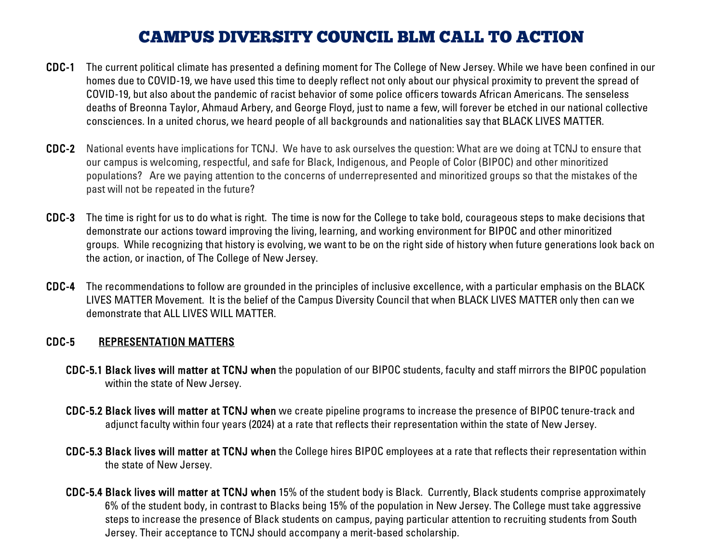# CAMPUS DIVERSITY COUNCIL BLM CALL TO ACTION

- CDC-1 The current political climate has presented a defining moment for The College of New Jersey. While we have been confined in our homes due to COVID-19, we have used this time to deeply reflect not only about our physical proximity to prevent the spread of COVID-19, but also about the pandemic of racist behavior of some police officers towards African Americans. The senseless deaths of Breonna Taylor, Ahmaud Arbery, and George Floyd, just to name a few, will forever be etched in our national collective consciences. In a united chorus, we heard people of all backgrounds and nationalities say that BLACK LIVES MATTER.
- CDC-2 National events have implications for TCNJ. We have to ask ourselves the question: What are we doing at TCNJ to ensure that our campus is welcoming, respectful, and safe for Black, Indigenous, and People of Color (BIPOC) and other minoritized populations? Are we paying attention to the concerns of underrepresented and minoritized groups so that the mistakes of the past will not be repeated in the future?
- CDC-3 The time is right for us to do what is right. The time is now for the College to take bold, courageous steps to make decisions that demonstrate our actions toward improving the living, learning, and working environment for BIPOC and other minoritized groups. While recognizing that history is evolving, we want to be on the right side of history when future generations look back on the action, or inaction, of The College of New Jersey.
- CDC-4 The recommendations to follow are grounded in the principles of inclusive excellence, with a particular emphasis on the BLACK LIVES MATTER Movement. It is the belief of the Campus Diversity Council that when BLACK LIVES MATTER only then can we demonstrate that ALL LIVES WILL MATTER.

### CDC-5 REPRESENTATION MATTERS

- CDC-5.1 Black lives will matter at TCNJ when the population of our BIPOC students, faculty and staff mirrors the BIPOC population within the state of New Jersey.
- CDC-5.2 Black lives will matter at TCNJ when we create pipeline programs to increase the presence of BIPOC tenure-track and adjunct faculty within four years (2024) at a rate that reflects their representation within the state of New Jersey.
- CDC-5.3 Black lives will matter at TCNJ when the College hires BIPOC employees at a rate that reflects their representation within the state of New Jersey.
- CDC-5.4 Black lives will matter at TCNJ when 15% of the student body is Black. Currently, Black students comprise approximately 6% of the student body, in contrast to Blacks being 15% of the population in New Jersey. The College must take aggressive steps to increase the presence of Black students on campus, paying particular attention to recruiting students from South Jersey. Their acceptance to TCNJ should accompany a merit-based scholarship.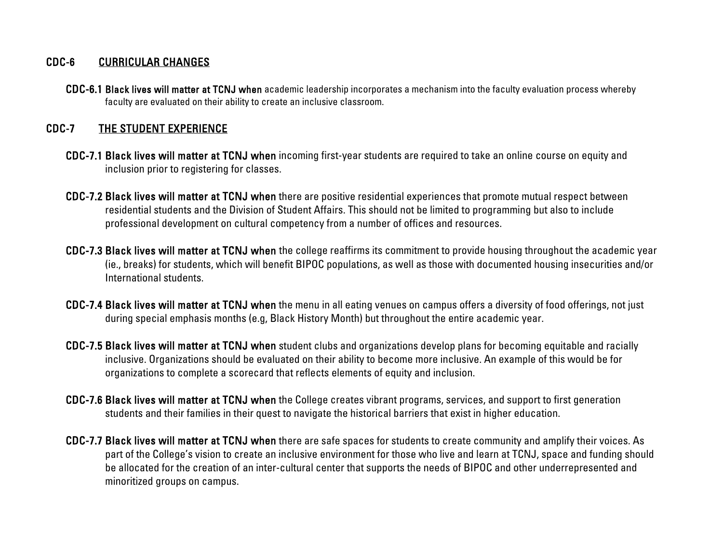#### CDC-6 CURRICULAR CHANGES

CDC-6.1 Black lives will matter at TCNJ when academic leadership incorporates a mechanism into the faculty evaluation process whereby faculty are evaluated on their ability to create an inclusive classroom.

## CDC-7 THE STUDENT EXPERIENCE

- CDC-7.1 Black lives will matter at TCNJ when incoming first-year students are required to take an online course on equity and inclusion prior to registering for classes.
- CDC-7.2 Black lives will matter at TCNJ when there are positive residential experiences that promote mutual respect between residential students and the Division of Student Affairs. This should not be limited to programming but also to include professional development on cultural competency from a number of offices and resources.
- CDC-7.3 Black lives will matter at TCNJ when the college reaffirms its commitment to provide housing throughout the academic year (ie., breaks) for students, which will benefit BIPOC populations, as well as those with documented housing insecurities and/or International students.
- CDC-7.4 Black lives will matter at TCNJ when the menu in all eating venues on campus offers a diversity of food offerings, not just during special emphasis months (e.g, Black History Month) but throughout the entire academic year.
- CDC-7.5 Black lives will matter at TCNJ when student clubs and organizations develop plans for becoming equitable and racially inclusive. Organizations should be evaluated on their ability to become more inclusive. An example of this would be for organizations to complete a scorecard that reflects elements of equity and inclusion.
- CDC-7.6 Black lives will matter at TCNJ when the College creates vibrant programs, services, and support to first generation students and their families in their quest to navigate the historical barriers that exist in higher education.
- CDC-7.7 Black lives will matter at TCNJ when there are safe spaces for students to create community and amplify their voices. As part of the College's vision to create an inclusive environment for those who live and learn at TCNJ, space and funding should be allocated for the creation of an inter-cultural center that supports the needs of BIPOC and other underrepresented and minoritized groups on campus.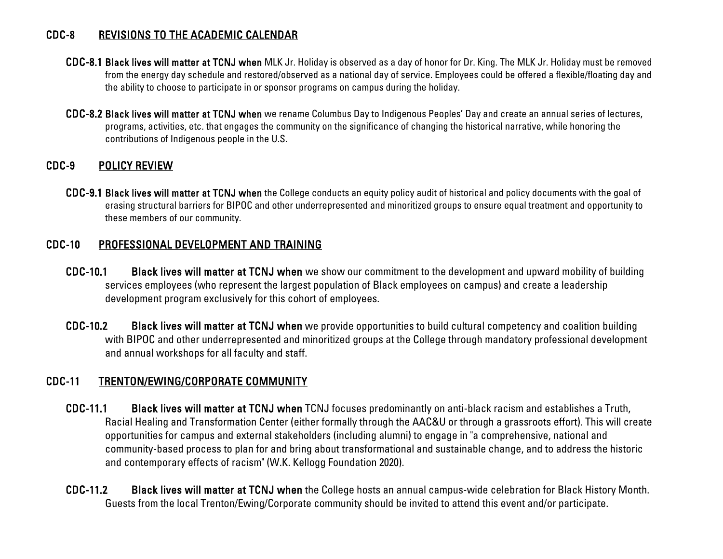#### CDC-8 REVISIONS TO THE ACADEMIC CALENDAR

- CDC-8.1 Black lives will matter at TCNJ when MLK Jr. Holiday is observed as a day of honor for Dr. King. The MLK Jr. Holiday must be removed from the energy day schedule and restored/observed as a national day of service. Employees could be offered a flexible/floating day and the ability to choose to participate in or sponsor programs on campus during the holiday.
- CDC-8.2 Black lives will matter at TCNJ when we rename Columbus Day to Indigenous Peoples' Day and create an annual series of lectures, programs, activities, etc. that engages the community on the significance of changing the historical narrative, while honoring the contributions of Indigenous people in the U.S.

## CDC-9 POLICY REVIEW

CDC-9.1 Black lives will matter at TCNJ when the College conducts an equity policy audit of historical and policy documents with the goal of erasing structural barriers for BIPOC and other underrepresented and minoritized groups to ensure equal treatment and opportunity to these members of our community.

#### CDC-10 PROFESSIONAL DEVELOPMENT AND TRAINING

- CDC-10.1 Black lives will matter at TCNJ when we show our commitment to the development and upward mobility of building services employees (who represent the largest population of Black employees on campus) and create a leadership development program exclusively for this cohort of employees.
- CDC-10.2 Black lives will matter at TCNJ when we provide opportunities to build cultural competency and coalition building with BIPOC and other underrepresented and minoritized groups at the College through mandatory professional development and annual workshops for all faculty and staff.

## CDC-11 TRENTON/EWING/CORPORATE COMMUNITY

- CDC-11.1 Black lives will matter at TCNJ when TCNJ focuses predominantly on anti-black racism and establishes a Truth, Racial Healing and Transformation Center (either formally through the AAC&U or through a grassroots effort). This will create opportunities for campus and external stakeholders (including alumni) to engage in "a comprehensive, national and community-based process to plan for and bring about transformational and sustainable change, and to address the historic and contemporary effects of racism" (W.K. Kellogg Foundation 2020).
- CDC-11.2 Black lives will matter at TCNJ when the College hosts an annual campus-wide celebration for Black History Month. Guests from the local Trenton/Ewing/Corporate community should be invited to attend this event and/or participate.